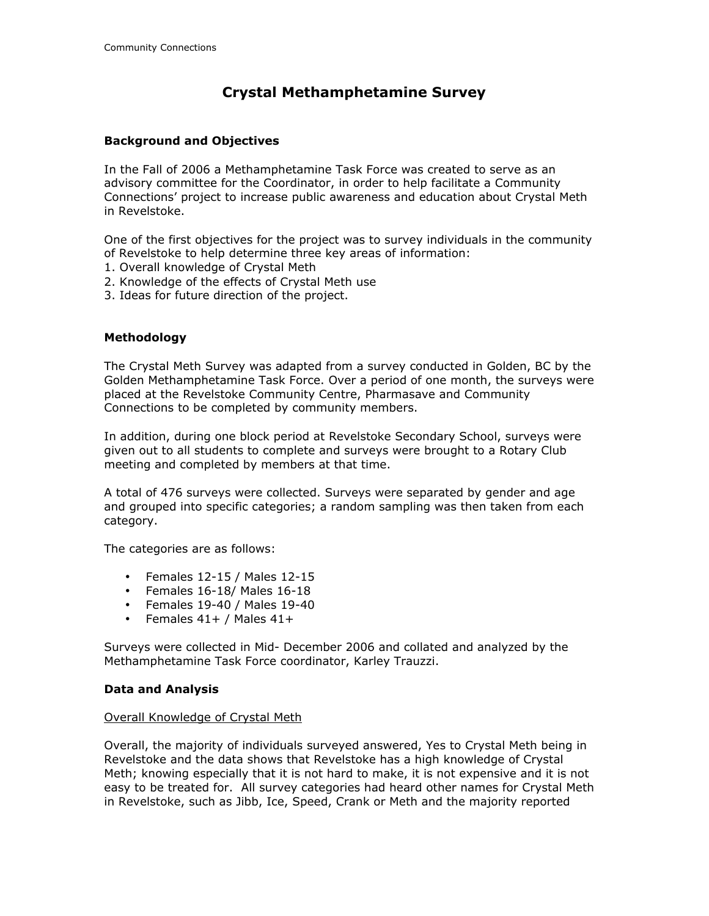# **Crystal Methamphetamine Survey**

## **Background and Objectives**

In the Fall of 2006 a Methamphetamine Task Force was created to serve as an advisory committee for the Coordinator, in order to help facilitate a Community Connections' project to increase public awareness and education about Crystal Meth in Revelstoke.

One of the first objectives for the project was to survey individuals in the community of Revelstoke to help determine three key areas of information:

- 1. Overall knowledge of Crystal Meth
- 2. Knowledge of the effects of Crystal Meth use
- 3. Ideas for future direction of the project.

## **Methodology**

The Crystal Meth Survey was adapted from a survey conducted in Golden, BC by the Golden Methamphetamine Task Force. Over a period of one month, the surveys were placed at the Revelstoke Community Centre, Pharmasave and Community Connections to be completed by community members.

In addition, during one block period at Revelstoke Secondary School, surveys were given out to all students to complete and surveys were brought to a Rotary Club meeting and completed by members at that time.

A total of 476 surveys were collected. Surveys were separated by gender and age and grouped into specific categories; a random sampling was then taken from each category.

The categories are as follows:

- Females 12-15 / Males 12-15
- Females 16-18/ Males 16-18
- Females 19-40 / Males 19-40
- Females  $41+ /$  Males  $41+$

Surveys were collected in Mid- December 2006 and collated and analyzed by the Methamphetamine Task Force coordinator, Karley Trauzzi.

#### **Data and Analysis**

#### Overall Knowledge of Crystal Meth

Overall, the majority of individuals surveyed answered, Yes to Crystal Meth being in Revelstoke and the data shows that Revelstoke has a high knowledge of Crystal Meth; knowing especially that it is not hard to make, it is not expensive and it is not easy to be treated for. All survey categories had heard other names for Crystal Meth in Revelstoke, such as Jibb, Ice, Speed, Crank or Meth and the majority reported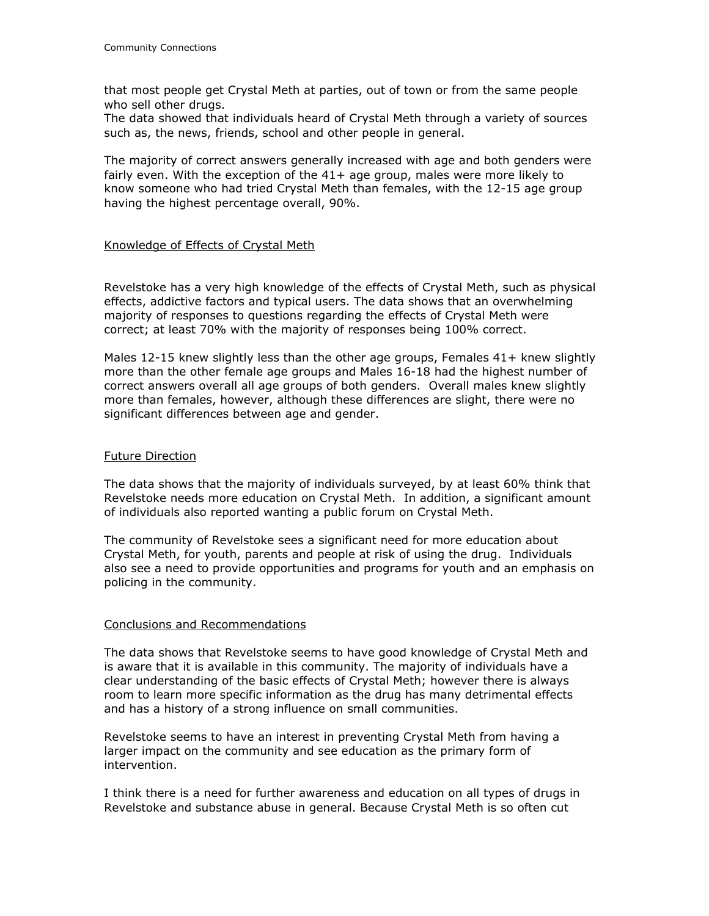that most people get Crystal Meth at parties, out of town or from the same people who sell other drugs.

The data showed that individuals heard of Crystal Meth through a variety of sources such as, the news, friends, school and other people in general.

The majority of correct answers generally increased with age and both genders were fairly even. With the exception of the  $41+$  age group, males were more likely to know someone who had tried Crystal Meth than females, with the 12-15 age group having the highest percentage overall, 90%.

## Knowledge of Effects of Crystal Meth

Revelstoke has a very high knowledge of the effects of Crystal Meth, such as physical effects, addictive factors and typical users. The data shows that an overwhelming majority of responses to questions regarding the effects of Crystal Meth were correct; at least 70% with the majority of responses being 100% correct.

Males 12-15 knew slightly less than the other age groups, Females 41+ knew slightly more than the other female age groups and Males 16-18 had the highest number of correct answers overall all age groups of both genders. Overall males knew slightly more than females, however, although these differences are slight, there were no significant differences between age and gender.

### Future Direction

The data shows that the majority of individuals surveyed, by at least 60% think that Revelstoke needs more education on Crystal Meth. In addition, a significant amount of individuals also reported wanting a public forum on Crystal Meth.

The community of Revelstoke sees a significant need for more education about Crystal Meth, for youth, parents and people at risk of using the drug. Individuals also see a need to provide opportunities and programs for youth and an emphasis on policing in the community.

## Conclusions and Recommendations

The data shows that Revelstoke seems to have good knowledge of Crystal Meth and is aware that it is available in this community. The majority of individuals have a clear understanding of the basic effects of Crystal Meth; however there is always room to learn more specific information as the drug has many detrimental effects and has a history of a strong influence on small communities.

Revelstoke seems to have an interest in preventing Crystal Meth from having a larger impact on the community and see education as the primary form of intervention.

I think there is a need for further awareness and education on all types of drugs in Revelstoke and substance abuse in general. Because Crystal Meth is so often cut